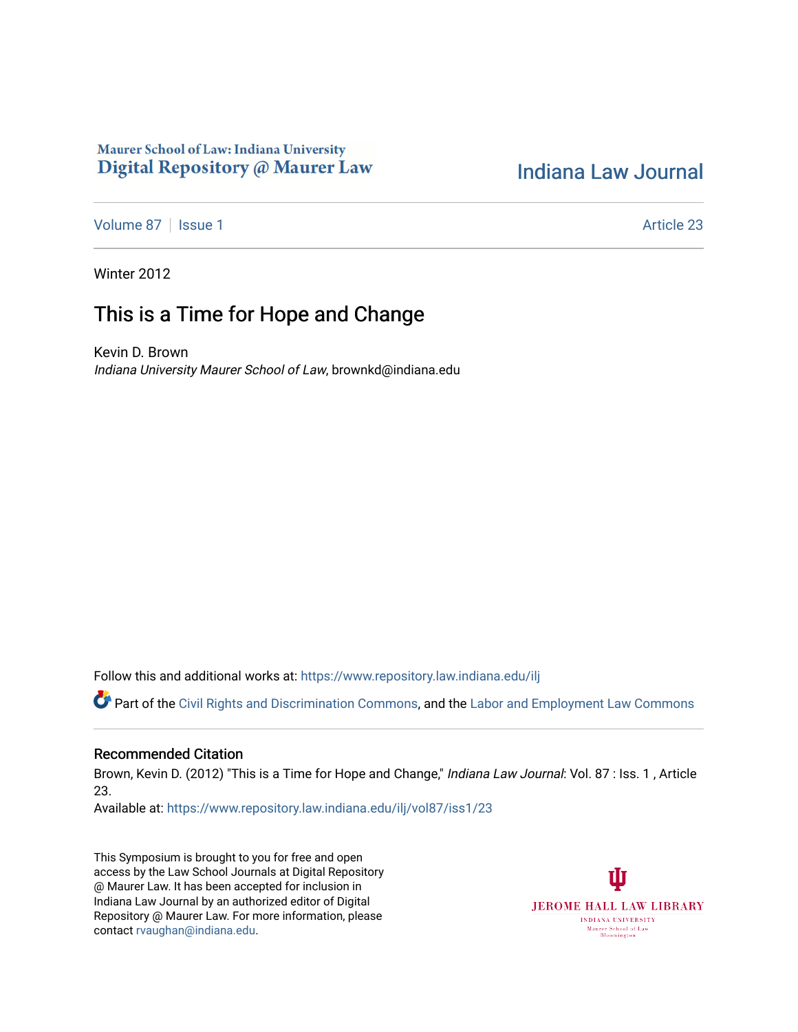### Maurer School of Law: Indiana University Digital Repository @ Maurer Law

# [Indiana Law Journal](https://www.repository.law.indiana.edu/ilj)

[Volume 87](https://www.repository.law.indiana.edu/ilj/vol87) | [Issue 1](https://www.repository.law.indiana.edu/ilj/vol87/iss1) Article 23

Winter 2012

## This is a Time for Hope and Change

Kevin D. Brown Indiana University Maurer School of Law, brownkd@indiana.edu

Follow this and additional works at: [https://www.repository.law.indiana.edu/ilj](https://www.repository.law.indiana.edu/ilj?utm_source=www.repository.law.indiana.edu%2Filj%2Fvol87%2Fiss1%2F23&utm_medium=PDF&utm_campaign=PDFCoverPages) 

Part of the [Civil Rights and Discrimination Commons,](http://network.bepress.com/hgg/discipline/585?utm_source=www.repository.law.indiana.edu%2Filj%2Fvol87%2Fiss1%2F23&utm_medium=PDF&utm_campaign=PDFCoverPages) and the [Labor and Employment Law Commons](http://network.bepress.com/hgg/discipline/909?utm_source=www.repository.law.indiana.edu%2Filj%2Fvol87%2Fiss1%2F23&utm_medium=PDF&utm_campaign=PDFCoverPages) 

#### Recommended Citation

Brown, Kevin D. (2012) "This is a Time for Hope and Change," Indiana Law Journal: Vol. 87 : Iss. 1, Article 23.

Available at: [https://www.repository.law.indiana.edu/ilj/vol87/iss1/23](https://www.repository.law.indiana.edu/ilj/vol87/iss1/23?utm_source=www.repository.law.indiana.edu%2Filj%2Fvol87%2Fiss1%2F23&utm_medium=PDF&utm_campaign=PDFCoverPages)

This Symposium is brought to you for free and open access by the Law School Journals at Digital Repository @ Maurer Law. It has been accepted for inclusion in Indiana Law Journal by an authorized editor of Digital Repository @ Maurer Law. For more information, please contact [rvaughan@indiana.edu](mailto:rvaughan@indiana.edu).

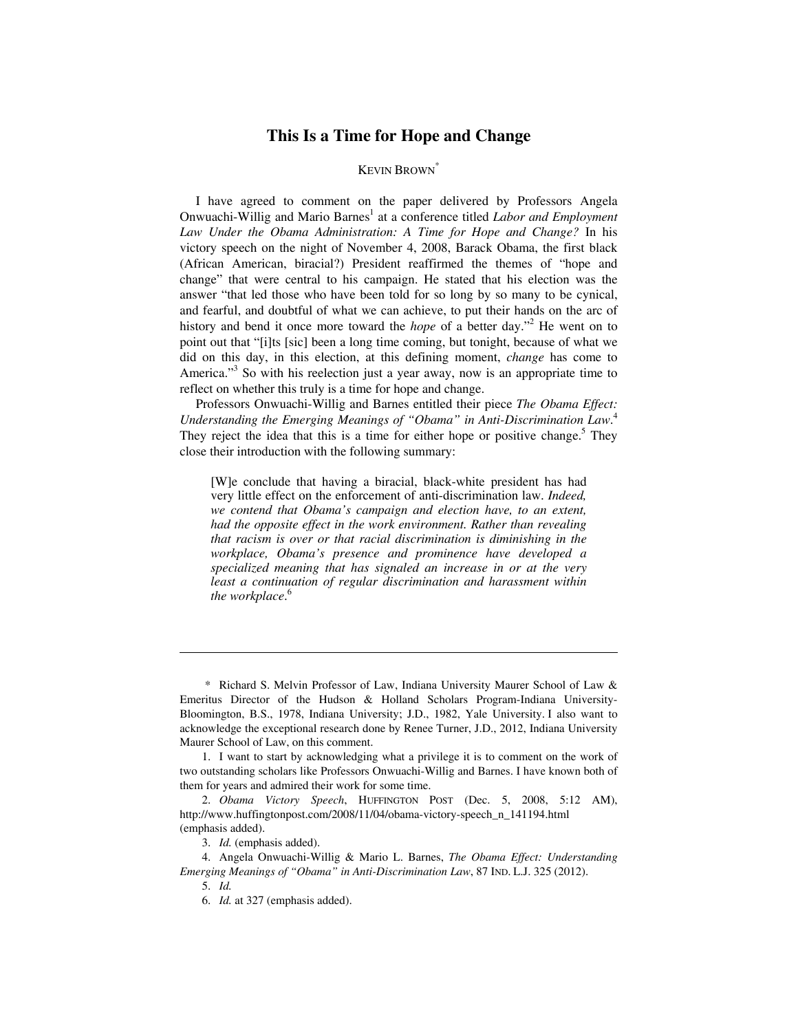### **This Is a Time for Hope and Change**

#### KEVIN BROWN\*

I have agreed to comment on the paper delivered by Professors Angela Onwuachi-Willig and Mario Barnes<sup>1</sup> at a conference titled *Labor and Employment Law Under the Obama Administration: A Time for Hope and Change?* In his victory speech on the night of November 4, 2008, Barack Obama, the first black (African American, biracial?) President reaffirmed the themes of "hope and change" that were central to his campaign. He stated that his election was the answer "that led those who have been told for so long by so many to be cynical, and fearful, and doubtful of what we can achieve, to put their hands on the arc of history and bend it once more toward the *hope* of a better day."<sup>2</sup> He went on to point out that "[i]ts [sic] been a long time coming, but tonight, because of what we did on this day, in this election, at this defining moment, *change* has come to America."<sup>3</sup> So with his reelection just a year away, now is an appropriate time to reflect on whether this truly is a time for hope and change.

Professors Onwuachi-Willig and Barnes entitled their piece *The Obama Effect: Understanding the Emerging Meanings of "Obama" in Anti-Discrimination Law*. 4 They reject the idea that this is a time for either hope or positive change.<sup>5</sup> They close their introduction with the following summary:

[W]e conclude that having a biracial, black-white president has had very little effect on the enforcement of anti-discrimination law. *Indeed, we contend that Obama's campaign and election have, to an extent, had the opposite effect in the work environment. Rather than revealing that racism is over or that racial discrimination is diminishing in the workplace, Obama's presence and prominence have developed a specialized meaning that has signaled an increase in or at the very least a continuation of regular discrimination and harassment within the workplace*. 6

 <sup>\*</sup> Richard S. Melvin Professor of Law, Indiana University Maurer School of Law & Emeritus Director of the Hudson & Holland Scholars Program-Indiana University-Bloomington, B.S., 1978, Indiana University; J.D., 1982, Yale University. I also want to acknowledge the exceptional research done by Renee Turner, J.D., 2012, Indiana University Maurer School of Law, on this comment.

 <sup>1.</sup> I want to start by acknowledging what a privilege it is to comment on the work of two outstanding scholars like Professors Onwuachi-Willig and Barnes. I have known both of them for years and admired their work for some time.

 <sup>2.</sup> *Obama Victory Speech*, HUFFINGTON POST (Dec. 5, 2008, 5:12 AM), http://www.huffingtonpost.com/2008/11/04/obama-victory-speech\_n\_141194.html (emphasis added).

 <sup>3.</sup> *Id.* (emphasis added).

 <sup>4.</sup> Angela Onwuachi-Willig & Mario L. Barnes, *The Obama Effect: Understanding Emerging Meanings of "Obama" in Anti-Discrimination Law*, 87 IND. L.J. 325 (2012).

 <sup>5.</sup> *Id.*

 <sup>6.</sup> *Id.* at 327 (emphasis added).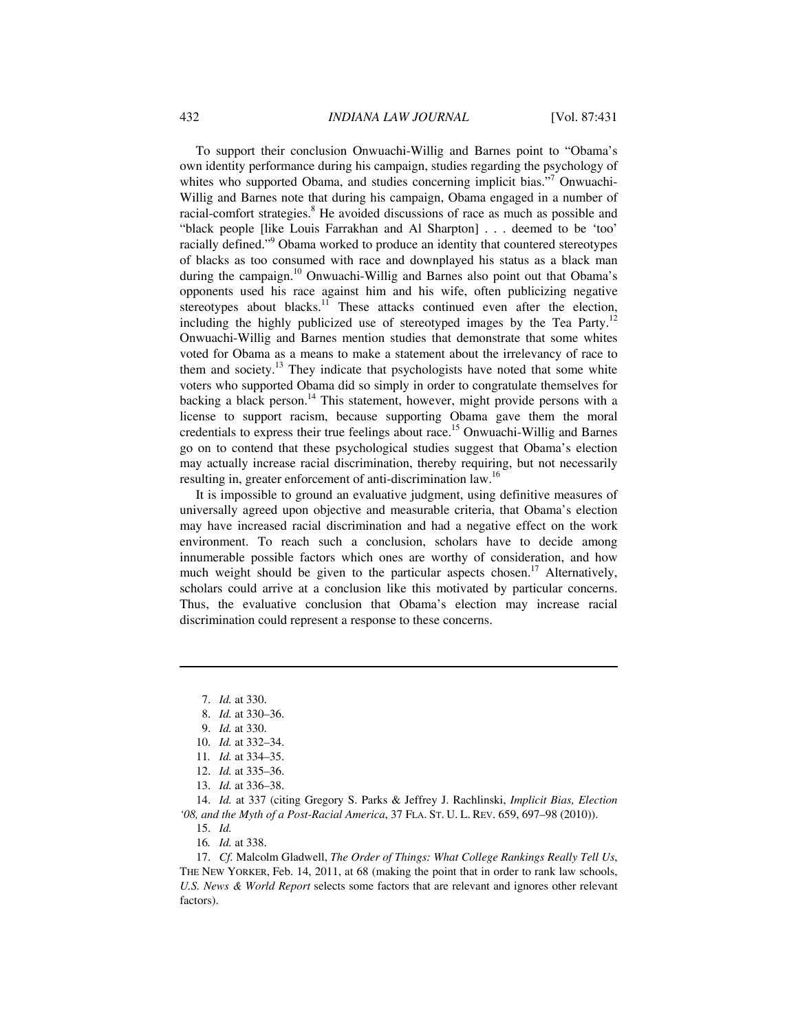To support their conclusion Onwuachi-Willig and Barnes point to "Obama's own identity performance during his campaign, studies regarding the psychology of whites who supported Obama, and studies concerning implicit bias."<sup>7</sup> Onwuachi-Willig and Barnes note that during his campaign, Obama engaged in a number of racial-comfort strategies.<sup>8</sup> He avoided discussions of race as much as possible and "black people [like Louis Farrakhan and Al Sharpton] . . . deemed to be 'too' racially defined."<sup>9</sup> Obama worked to produce an identity that countered stereotypes of blacks as too consumed with race and downplayed his status as a black man during the campaign.<sup>10</sup> Onwuachi-Willig and Barnes also point out that Obama's opponents used his race against him and his wife, often publicizing negative stereotypes about blacks.<sup>11</sup> These attacks continued even after the election, including the highly publicized use of stereotyped images by the Tea Party.<sup>12</sup> Onwuachi-Willig and Barnes mention studies that demonstrate that some whites voted for Obama as a means to make a statement about the irrelevancy of race to them and society.<sup>13</sup> They indicate that psychologists have noted that some white voters who supported Obama did so simply in order to congratulate themselves for backing a black person.<sup>14</sup> This statement, however, might provide persons with a license to support racism, because supporting Obama gave them the moral credentials to express their true feelings about race.15 Onwuachi-Willig and Barnes go on to contend that these psychological studies suggest that Obama's election may actually increase racial discrimination, thereby requiring, but not necessarily resulting in, greater enforcement of anti-discrimination law.<sup>16</sup>

It is impossible to ground an evaluative judgment, using definitive measures of universally agreed upon objective and measurable criteria, that Obama's election may have increased racial discrimination and had a negative effect on the work environment. To reach such a conclusion, scholars have to decide among innumerable possible factors which ones are worthy of consideration, and how much weight should be given to the particular aspects chosen.<sup>17</sup> Alternatively, scholars could arrive at a conclusion like this motivated by particular concerns. Thus, the evaluative conclusion that Obama's election may increase racial discrimination could represent a response to these concerns.

<u>.</u>

- 12. *Id.* at 335–36.
- 13. *Id.* at 336–38.

 14. *Id.* at 337 (citing Gregory S. Parks & Jeffrey J. Rachlinski, *Implicit Bias, Election '08, and the Myth of a Post-Racial America*, 37 FLA. ST. U. L. REV. 659, 697–98 (2010)).

15. *Id.*

16*. Id.* at 338.

 17. *Cf.* Malcolm Gladwell, *The Order of Things: What College Rankings Really Tell Us*, THE NEW YORKER, Feb. 14, 2011, at 68 (making the point that in order to rank law schools, *U.S. News & World Report* selects some factors that are relevant and ignores other relevant factors).

 <sup>7.</sup> *Id.* at 330.

 <sup>8.</sup> *Id.* at 330–36.

 <sup>9.</sup> *Id.* at 330.

 <sup>10.</sup> *Id.* at 332–34.

<sup>11</sup>*. Id.* at 334–35.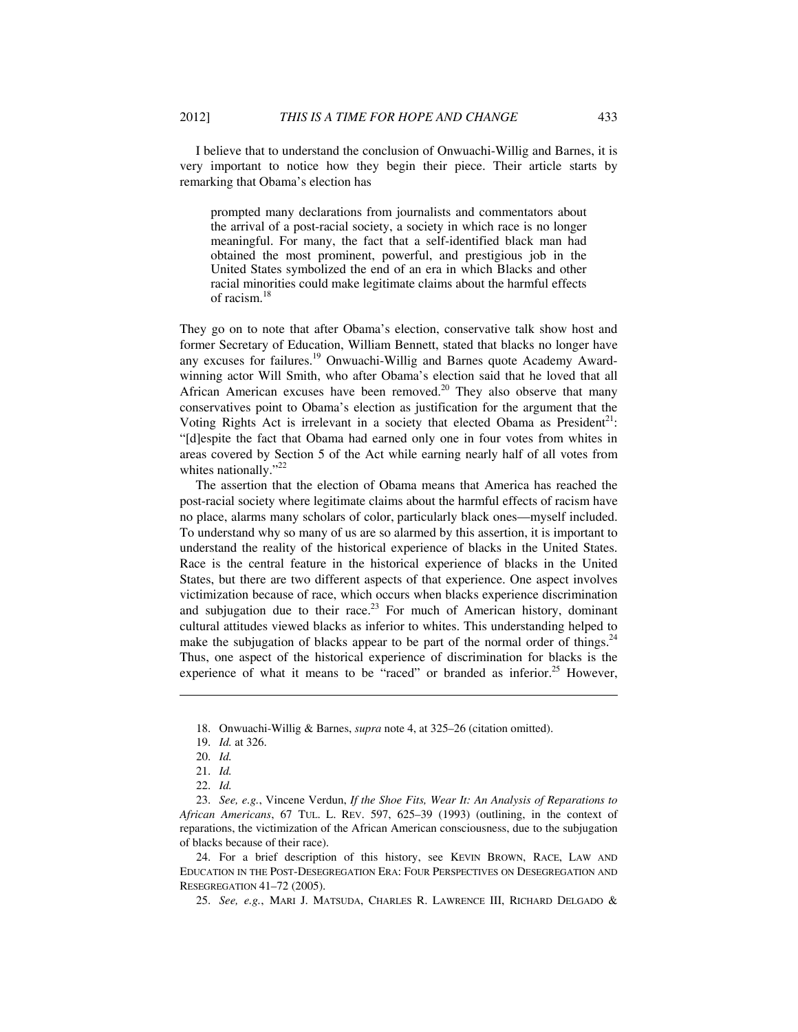I believe that to understand the conclusion of Onwuachi-Willig and Barnes, it is very important to notice how they begin their piece. Their article starts by remarking that Obama's election has

prompted many declarations from journalists and commentators about the arrival of a post-racial society, a society in which race is no longer meaningful. For many, the fact that a self-identified black man had obtained the most prominent, powerful, and prestigious job in the United States symbolized the end of an era in which Blacks and other racial minorities could make legitimate claims about the harmful effects of racism.<sup>18</sup>

They go on to note that after Obama's election, conservative talk show host and former Secretary of Education, William Bennett, stated that blacks no longer have any excuses for failures.<sup>19</sup> Onwuachi-Willig and Barnes quote Academy Awardwinning actor Will Smith, who after Obama's election said that he loved that all African American excuses have been removed.<sup>20</sup> They also observe that many conservatives point to Obama's election as justification for the argument that the Voting Rights Act is irrelevant in a society that elected Obama as  $President<sup>21</sup>$ : "[d]espite the fact that Obama had earned only one in four votes from whites in areas covered by Section 5 of the Act while earning nearly half of all votes from whites nationally." $^{22}$ 

The assertion that the election of Obama means that America has reached the post-racial society where legitimate claims about the harmful effects of racism have no place, alarms many scholars of color, particularly black ones—myself included. To understand why so many of us are so alarmed by this assertion, it is important to understand the reality of the historical experience of blacks in the United States. Race is the central feature in the historical experience of blacks in the United States, but there are two different aspects of that experience. One aspect involves victimization because of race, which occurs when blacks experience discrimination and subjugation due to their race.<sup>23</sup> For much of American history, dominant cultural attitudes viewed blacks as inferior to whites. This understanding helped to make the subjugation of blacks appear to be part of the normal order of things.<sup>24</sup> Thus, one aspect of the historical experience of discrimination for blacks is the experience of what it means to be "raced" or branded as inferior.<sup>25</sup> However,

1

 24. For a brief description of this history, see KEVIN BROWN, RACE, LAW AND EDUCATION IN THE POST-DESEGREGATION ERA: FOUR PERSPECTIVES ON DESEGREGATION AND RESEGREGATION 41–72 (2005).

25. *See, e.g.*, MARI J. MATSUDA, CHARLES R. LAWRENCE III, RICHARD DELGADO &

 <sup>18.</sup> Onwuachi-Willig & Barnes, *supra* note 4, at 325–26 (citation omitted).

 <sup>19.</sup> *Id.* at 326.

 <sup>20.</sup> *Id.*

 <sup>21.</sup> *Id.*

 <sup>22.</sup> *Id.*

 <sup>23.</sup> *See, e.g.*, Vincene Verdun, *If the Shoe Fits, Wear It: An Analysis of Reparations to African Americans*, 67 TUL. L. REV. 597, 625–39 (1993) (outlining, in the context of reparations, the victimization of the African American consciousness, due to the subjugation of blacks because of their race).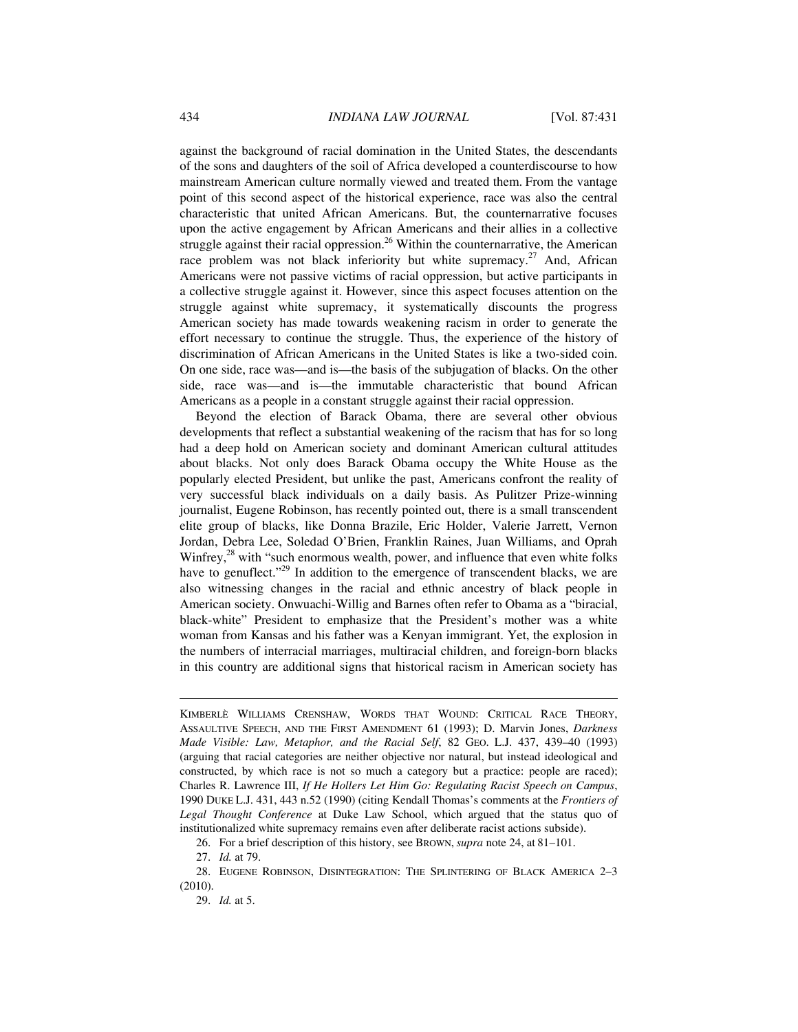against the background of racial domination in the United States, the descendants of the sons and daughters of the soil of Africa developed a counterdiscourse to how mainstream American culture normally viewed and treated them. From the vantage point of this second aspect of the historical experience, race was also the central characteristic that united African Americans. But, the counternarrative focuses upon the active engagement by African Americans and their allies in a collective struggle against their racial oppression.<sup>26</sup> Within the counternarrative, the American race problem was not black inferiority but white supremacy.<sup>27</sup> And, African Americans were not passive victims of racial oppression, but active participants in a collective struggle against it. However, since this aspect focuses attention on the struggle against white supremacy, it systematically discounts the progress American society has made towards weakening racism in order to generate the effort necessary to continue the struggle. Thus, the experience of the history of discrimination of African Americans in the United States is like a two-sided coin. On one side, race was—and is—the basis of the subjugation of blacks. On the other side, race was—and is—the immutable characteristic that bound African Americans as a people in a constant struggle against their racial oppression.

Beyond the election of Barack Obama, there are several other obvious developments that reflect a substantial weakening of the racism that has for so long had a deep hold on American society and dominant American cultural attitudes about blacks. Not only does Barack Obama occupy the White House as the popularly elected President, but unlike the past, Americans confront the reality of very successful black individuals on a daily basis. As Pulitzer Prize-winning journalist, Eugene Robinson, has recently pointed out, there is a small transcendent elite group of blacks, like Donna Brazile, Eric Holder, Valerie Jarrett, Vernon Jordan, Debra Lee, Soledad O'Brien, Franklin Raines, Juan Williams, and Oprah Winfrey, $^{28}$  with "such enormous wealth, power, and influence that even white folks have to genuflect."<sup>29</sup> In addition to the emergence of transcendent blacks, we are also witnessing changes in the racial and ethnic ancestry of black people in American society. Onwuachi-Willig and Barnes often refer to Obama as a "biracial, black-white" President to emphasize that the President's mother was a white woman from Kansas and his father was a Kenyan immigrant. Yet, the explosion in the numbers of interracial marriages, multiracial children, and foreign-born blacks in this country are additional signs that historical racism in American society has

27. *Id.* at 79.

<u>.</u>

29. *Id.* at 5.

KIMBERLÈ WILLIAMS CRENSHAW, WORDS THAT WOUND: CRITICAL RACE THEORY, ASSAULTIVE SPEECH, AND THE FIRST AMENDMENT 61 (1993); D. Marvin Jones, *Darkness Made Visible: Law, Metaphor, and the Racial Self*, 82 GEO. L.J. 437, 439–40 (1993) (arguing that racial categories are neither objective nor natural, but instead ideological and constructed, by which race is not so much a category but a practice: people are raced); Charles R. Lawrence III, *If He Hollers Let Him Go: Regulating Racist Speech on Campus*, 1990 DUKE L.J. 431, 443 n.52 (1990) (citing Kendall Thomas's comments at the *Frontiers of Legal Thought Conference* at Duke Law School, which argued that the status quo of institutionalized white supremacy remains even after deliberate racist actions subside).

 <sup>26.</sup> For a brief description of this history, see BROWN, *supra* note 24, at 81–101.

 <sup>28.</sup> EUGENE ROBINSON, DISINTEGRATION: THE SPLINTERING OF BLACK AMERICA 2–3 (2010).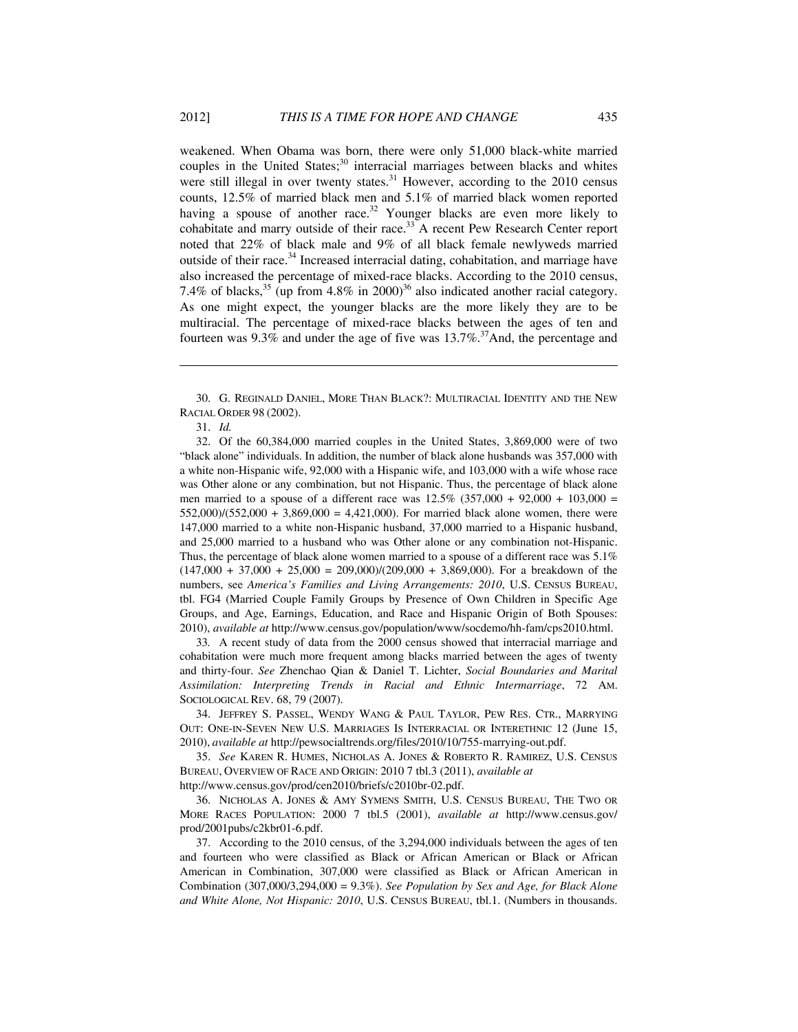weakened. When Obama was born, there were only 51,000 black-white married couples in the United States; $30$  interracial marriages between blacks and whites were still illegal in over twenty states.<sup>31</sup> However, according to the 2010 census counts, 12.5% of married black men and 5.1% of married black women reported having a spouse of another race.<sup>32</sup> Younger blacks are even more likely to cohabitate and marry outside of their race.<sup>33</sup> A recent Pew Research Center report noted that 22% of black male and 9% of all black female newlyweds married outside of their race.34 Increased interracial dating, cohabitation, and marriage have also increased the percentage of mixed-race blacks. According to the 2010 census, 7.4% of blacks,  $35 \text{ (up from } 4.8\% \text{ in } 2000)$ <sup>36</sup> also indicated another racial category. As one might expect, the younger blacks are the more likely they are to be multiracial. The percentage of mixed-race blacks between the ages of ten and fourteen was 9.3% and under the age of five was  $13.7\%$ .<sup>37</sup>And, the percentage and

<u>.</u>

 32. Of the 60,384,000 married couples in the United States, 3,869,000 were of two "black alone" individuals. In addition, the number of black alone husbands was 357,000 with a white non-Hispanic wife, 92,000 with a Hispanic wife, and 103,000 with a wife whose race was Other alone or any combination, but not Hispanic. Thus, the percentage of black alone men married to a spouse of a different race was  $12.5\%$  (357,000 + 92,000 + 103,000 =  $552,000$ / $(552,000 + 3,869,000 = 4,421,000)$ . For married black alone women, there were 147,000 married to a white non-Hispanic husband, 37,000 married to a Hispanic husband, and 25,000 married to a husband who was Other alone or any combination not-Hispanic. Thus, the percentage of black alone women married to a spouse of a different race was 5.1%  $(147,000 + 37,000 + 25,000 = 209,000)/(209,000 + 3,869,000)$ . For a breakdown of the numbers, see *America's Families and Living Arrangements: 2010*, U.S. CENSUS BUREAU, tbl. FG4 (Married Couple Family Groups by Presence of Own Children in Specific Age Groups, and Age, Earnings, Education, and Race and Hispanic Origin of Both Spouses: 2010), *available at* http://www.census.gov/population/www/socdemo/hh-fam/cps2010.html.

33*.* A recent study of data from the 2000 census showed that interracial marriage and cohabitation were much more frequent among blacks married between the ages of twenty and thirty-four. *See* Zhenchao Qian & Daniel T. Lichter, *Social Boundaries and Marital Assimilation: Interpreting Trends in Racial and Ethnic Intermarriage*, 72 AM. SOCIOLOGICAL REV. 68, 79 (2007).

 34. JEFFREY S. PASSEL, WENDY WANG & PAUL TAYLOR, PEW RES. CTR., MARRYING OUT: ONE-IN-SEVEN NEW U.S. MARRIAGES IS INTERRACIAL OR INTERETHNIC 12 (June 15, 2010), *available at* http://pewsocialtrends.org/files/2010/10/755-marrying-out.pdf.

 35. *See* KAREN R. HUMES, NICHOLAS A. JONES & ROBERTO R. RAMIREZ, U.S. CENSUS BUREAU, OVERVIEW OF RACE AND ORIGIN: 2010 7 tbl.3 (2011), *available at*

http://www.census.gov/prod/cen2010/briefs/c2010br-02.pdf.

 36. NICHOLAS A. JONES & AMY SYMENS SMITH, U.S. CENSUS BUREAU, THE TWO OR MORE RACES POPULATION: 2000 7 tbl.5 (2001), *available at* http://www.census.gov/ prod/2001pubs/c2kbr01-6.pdf.

 37. According to the 2010 census, of the 3,294,000 individuals between the ages of ten and fourteen who were classified as Black or African American or Black or African American in Combination, 307,000 were classified as Black or African American in Combination (307,000/3,294,000 = 9.3%). *See Population by Sex and Age, for Black Alone and White Alone, Not Hispanic: 2010*, U.S. CENSUS BUREAU, tbl.1. (Numbers in thousands.

 <sup>30.</sup> G. REGINALD DANIEL, MORE THAN BLACK?: MULTIRACIAL IDENTITY AND THE NEW RACIAL ORDER 98 (2002).

 <sup>31.</sup> *Id.*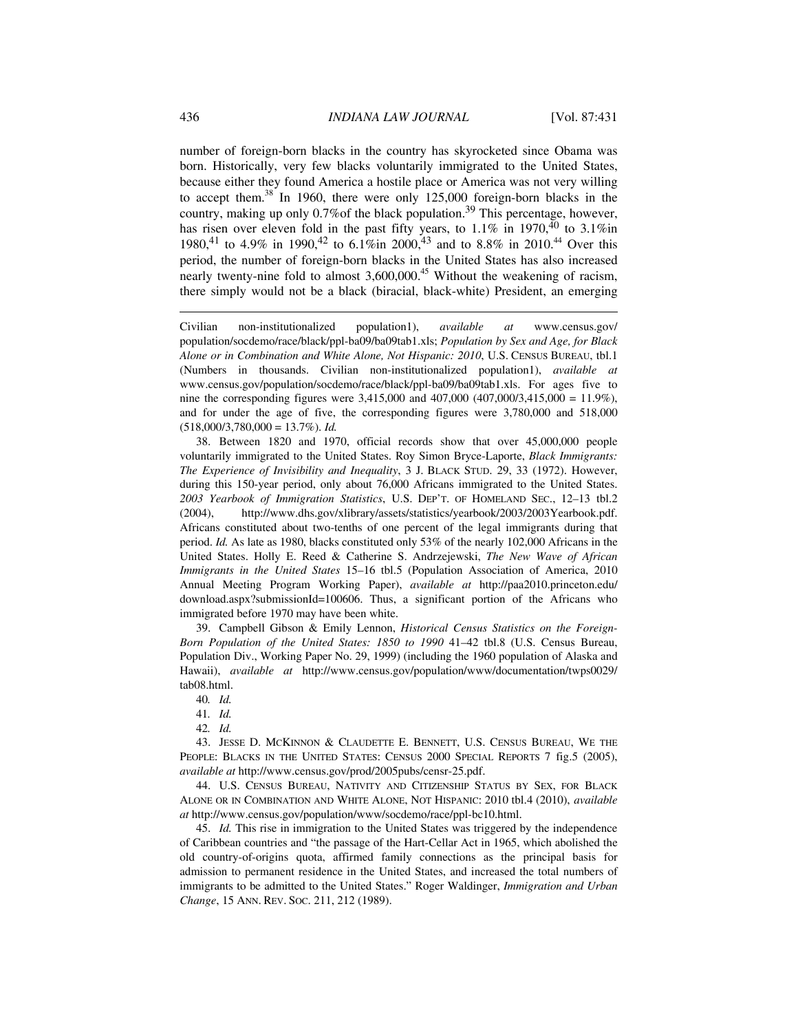number of foreign-born blacks in the country has skyrocketed since Obama was born. Historically, very few blacks voluntarily immigrated to the United States, because either they found America a hostile place or America was not very willing to accept them.<sup>38</sup> In 1960, there were only 125,000 foreign-born blacks in the country, making up only 0.7%of the black population.39 This percentage, however, has risen over eleven fold in the past fifty years, to  $1.1\%$  in  $1970,^{40}$  to  $3.1\%$ in 1980,<sup>41</sup> to 4.9% in 1990,<sup>42</sup> to 6.1%in 2000,<sup>43</sup> and to 8.8% in 2010.<sup>44</sup> Over this period, the number of foreign-born blacks in the United States has also increased nearly twenty-nine fold to almost 3,600,000.<sup>45</sup> Without the weakening of racism, there simply would not be a black (biracial, black-white) President, an emerging

Civilian non-institutionalized population1), *available at* www.census.gov/ population/socdemo/race/black/ppl-ba09/ba09tab1.xls; *Population by Sex and Age, for Black Alone or in Combination and White Alone, Not Hispanic: 2010*, U.S. CENSUS BUREAU, tbl.1 (Numbers in thousands. Civilian non-institutionalized population1), *available at* www.census.gov/population/socdemo/race/black/ppl-ba09/ba09tab1.xls. For ages five to nine the corresponding figures were 3,415,000 and 407,000 (407,000/3,415,000 = 11.9%), and for under the age of five, the corresponding figures were 3,780,000 and 518,000  $(518,000/3,780,000 = 13.7\%)$ . *Id.* 

 38. Between 1820 and 1970, official records show that over 45,000,000 people voluntarily immigrated to the United States. Roy Simon Bryce-Laporte, *Black Immigrants: The Experience of Invisibility and Inequality*, 3 J. BLACK STUD. 29, 33 (1972). However, during this 150-year period, only about 76,000 Africans immigrated to the United States. *2003 Yearbook of Immigration Statistics*, U.S. DEP'T. OF HOMELAND SEC., 12–13 tbl.2 (2004), http://www.dhs.gov/xlibrary/assets/statistics/yearbook/2003/2003Yearbook.pdf. Africans constituted about two-tenths of one percent of the legal immigrants during that period. *Id.* As late as 1980, blacks constituted only 53% of the nearly 102,000 Africans in the United States. Holly E. Reed & Catherine S. Andrzejewski, *The New Wave of African Immigrants in the United States* 15–16 tbl.5 (Population Association of America, 2010 Annual Meeting Program Working Paper), *available at* http://paa2010.princeton.edu/ download.aspx?submissionId=100606. Thus, a significant portion of the Africans who immigrated before 1970 may have been white.

 39. Campbell Gibson & Emily Lennon, *Historical Census Statistics on the Foreign-Born Population of the United States: 1850 to 1990* 41–42 tbl.8 (U.S. Census Bureau, Population Div., Working Paper No. 29, 1999) (including the 1960 population of Alaska and Hawaii), *available at* http://www.census.gov/population/www/documentation/twps0029/ tab08.html.

41*. Id.*

42*. Id.*

 43. JESSE D. MCKINNON & CLAUDETTE E. BENNETT, U.S. CENSUS BUREAU, WE THE PEOPLE: BLACKS IN THE UNITED STATES: CENSUS 2000 SPECIAL REPORTS 7 fig.5 (2005), *available at* http://www.census.gov/prod/2005pubs/censr-25.pdf.

 44. U.S. CENSUS BUREAU, NATIVITY AND CITIZENSHIP STATUS BY SEX, FOR BLACK ALONE OR IN COMBINATION AND WHITE ALONE, NOT HISPANIC: 2010 tbl.4 (2010), *available at* http://www.census.gov/population/www/socdemo/race/ppl-bc10.html.

 45. *Id.* This rise in immigration to the United States was triggered by the independence of Caribbean countries and "the passage of the Hart-Cellar Act in 1965, which abolished the old country-of-origins quota, affirmed family connections as the principal basis for admission to permanent residence in the United States, and increased the total numbers of immigrants to be admitted to the United States." Roger Waldinger, *Immigration and Urban Change*, 15 ANN. REV. SOC. 211, 212 (1989).

<u>.</u>

<sup>40</sup>*. Id.*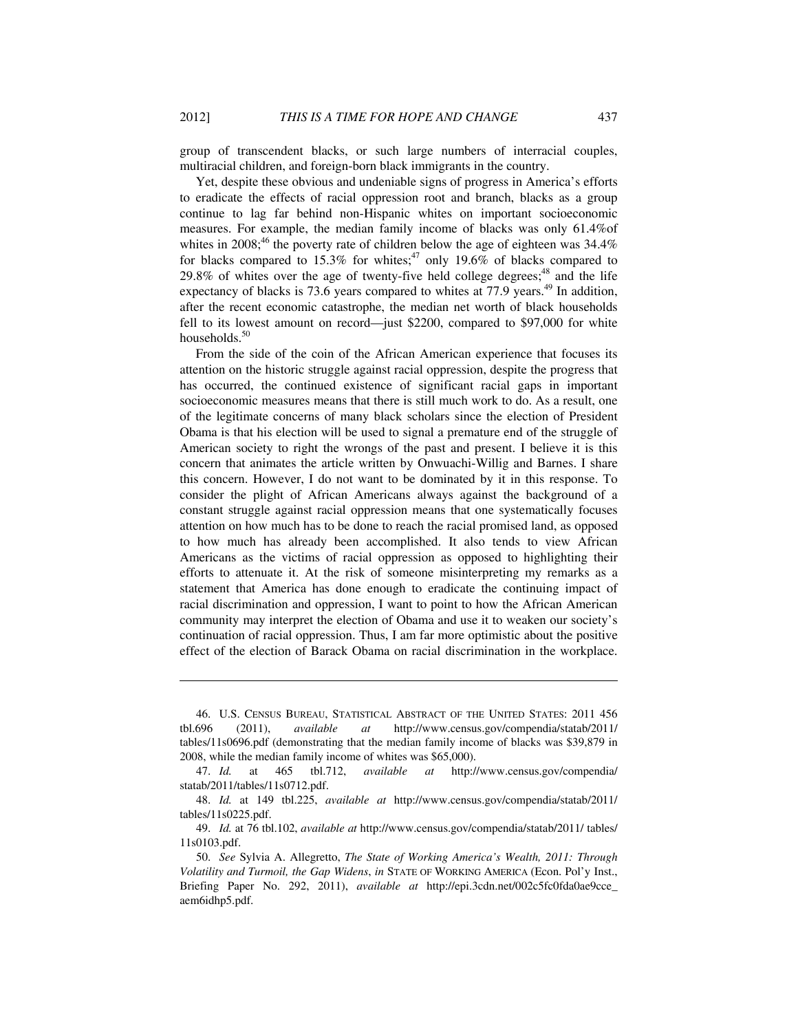group of transcendent blacks, or such large numbers of interracial couples, multiracial children, and foreign-born black immigrants in the country.

Yet, despite these obvious and undeniable signs of progress in America's efforts to eradicate the effects of racial oppression root and branch, blacks as a group continue to lag far behind non-Hispanic whites on important socioeconomic measures. For example, the median family income of blacks was only 61.4%of whites in 2008;<sup>46</sup> the poverty rate of children below the age of eighteen was  $34.4\%$ for blacks compared to 15.3% for whites;<sup>47</sup> only 19.6% of blacks compared to  $29.8\%$  of whites over the age of twenty-five held college degrees;<sup>48</sup> and the life expectancy of blacks is 73.6 years compared to whites at 77.9 years.<sup>49</sup> In addition, after the recent economic catastrophe, the median net worth of black households fell to its lowest amount on record—just \$2200, compared to \$97,000 for white households.<sup>50</sup>

From the side of the coin of the African American experience that focuses its attention on the historic struggle against racial oppression, despite the progress that has occurred, the continued existence of significant racial gaps in important socioeconomic measures means that there is still much work to do. As a result, one of the legitimate concerns of many black scholars since the election of President Obama is that his election will be used to signal a premature end of the struggle of American society to right the wrongs of the past and present. I believe it is this concern that animates the article written by Onwuachi-Willig and Barnes. I share this concern. However, I do not want to be dominated by it in this response. To consider the plight of African Americans always against the background of a constant struggle against racial oppression means that one systematically focuses attention on how much has to be done to reach the racial promised land, as opposed to how much has already been accomplished. It also tends to view African Americans as the victims of racial oppression as opposed to highlighting their efforts to attenuate it. At the risk of someone misinterpreting my remarks as a statement that America has done enough to eradicate the continuing impact of racial discrimination and oppression, I want to point to how the African American community may interpret the election of Obama and use it to weaken our society's continuation of racial oppression. Thus, I am far more optimistic about the positive effect of the election of Barack Obama on racial discrimination in the workplace.

 <sup>46.</sup> U.S. CENSUS BUREAU, STATISTICAL ABSTRACT OF THE UNITED STATES: 2011 456 tbl.696 (2011), *available at* http://www.census.gov/compendia/statab/2011/ tables/11s0696.pdf (demonstrating that the median family income of blacks was \$39,879 in 2008, while the median family income of whites was \$65,000).

 <sup>47.</sup> *Id.* at 465 tbl.712, *available at* http://www.census.gov/compendia/ statab/2011/tables/11s0712.pdf.

 <sup>48.</sup> *Id.* at 149 tbl.225, *available at* http://www.census.gov/compendia/statab/2011/ tables/11s0225.pdf.

 <sup>49.</sup> *Id.* at 76 tbl.102, *available at* http://www.census.gov/compendia/statab/2011/ tables/ 11s0103.pdf.

 <sup>50.</sup> *See* Sylvia A. Allegretto, *The State of Working America's Wealth, 2011: Through Volatility and Turmoil, the Gap Widens*, *in* STATE OF WORKING AMERICA (Econ. Pol'y Inst., Briefing Paper No. 292, 2011), *available at* http://epi.3cdn.net/002c5fc0fda0ae9cce\_ aem6idhp5.pdf.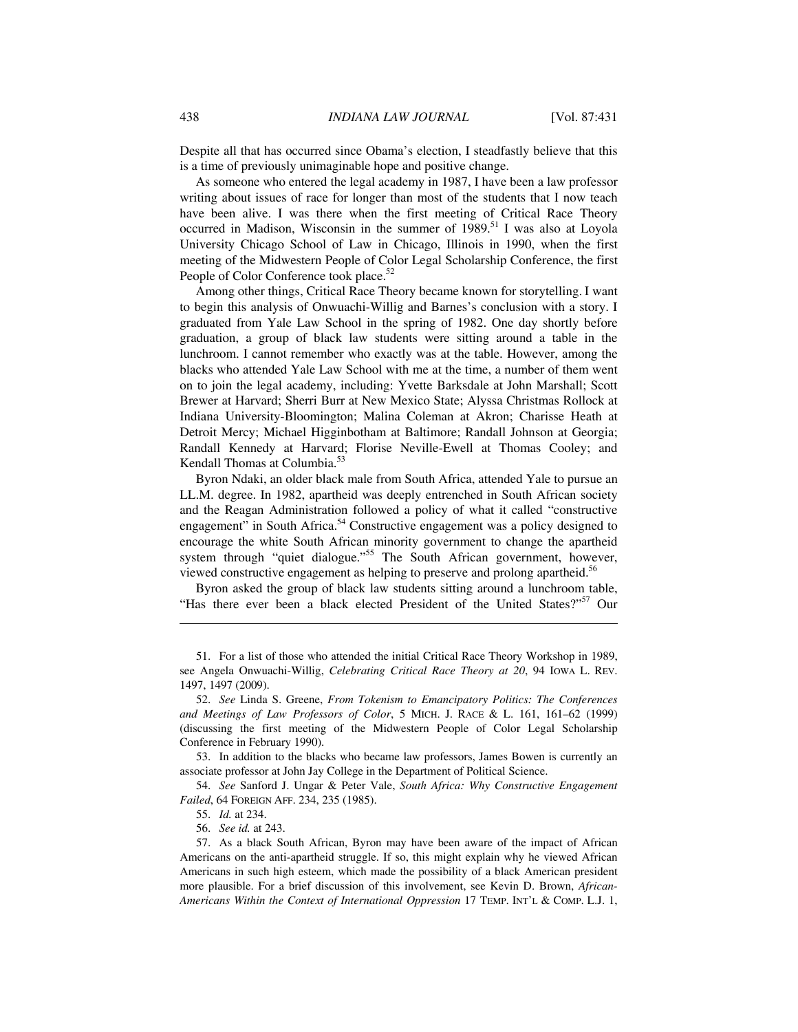Despite all that has occurred since Obama's election, I steadfastly believe that this is a time of previously unimaginable hope and positive change.

As someone who entered the legal academy in 1987, I have been a law professor writing about issues of race for longer than most of the students that I now teach have been alive. I was there when the first meeting of Critical Race Theory occurred in Madison, Wisconsin in the summer of 1989.<sup>51</sup> I was also at Loyola University Chicago School of Law in Chicago, Illinois in 1990, when the first meeting of the Midwestern People of Color Legal Scholarship Conference, the first People of Color Conference took place.<sup>52</sup>

Among other things, Critical Race Theory became known for storytelling. I want to begin this analysis of Onwuachi-Willig and Barnes's conclusion with a story. I graduated from Yale Law School in the spring of 1982. One day shortly before graduation, a group of black law students were sitting around a table in the lunchroom. I cannot remember who exactly was at the table. However, among the blacks who attended Yale Law School with me at the time, a number of them went on to join the legal academy, including: Yvette Barksdale at John Marshall; Scott Brewer at Harvard; Sherri Burr at New Mexico State; Alyssa Christmas Rollock at Indiana University-Bloomington; Malina Coleman at Akron; Charisse Heath at Detroit Mercy; Michael Higginbotham at Baltimore; Randall Johnson at Georgia; Randall Kennedy at Harvard; Florise Neville-Ewell at Thomas Cooley; and Kendall Thomas at Columbia.<sup>53</sup>

Byron Ndaki, an older black male from South Africa, attended Yale to pursue an LL.M. degree. In 1982, apartheid was deeply entrenched in South African society and the Reagan Administration followed a policy of what it called "constructive engagement" in South Africa.<sup>54</sup> Constructive engagement was a policy designed to encourage the white South African minority government to change the apartheid system through "quiet dialogue."<sup>55</sup> The South African government, however, viewed constructive engagement as helping to preserve and prolong apartheid.<sup>56</sup>

Byron asked the group of black law students sitting around a lunchroom table, "Has there ever been a black elected President of the United States?"<sup>57</sup> Our

<u>.</u>

 <sup>51.</sup> For a list of those who attended the initial Critical Race Theory Workshop in 1989, see Angela Onwuachi-Willig, *Celebrating Critical Race Theory at 20*, 94 IOWA L. REV. 1497, 1497 (2009).

 <sup>52.</sup> *See* Linda S. Greene, *From Tokenism to Emancipatory Politics: The Conferences and Meetings of Law Professors of Color*, 5 MICH. J. RACE & L. 161, 161–62 (1999) (discussing the first meeting of the Midwestern People of Color Legal Scholarship Conference in February 1990).

 <sup>53.</sup> In addition to the blacks who became law professors, James Bowen is currently an associate professor at John Jay College in the Department of Political Science.

 <sup>54.</sup> *See* Sanford J. Ungar & Peter Vale, *South Africa: Why Constructive Engagement Failed*, 64 FOREIGN AFF. 234, 235 (1985).

 <sup>55.</sup> *Id.* at 234.

 <sup>56.</sup> *See id.* at 243.

 <sup>57.</sup> As a black South African, Byron may have been aware of the impact of African Americans on the anti-apartheid struggle. If so, this might explain why he viewed African Americans in such high esteem, which made the possibility of a black American president more plausible. For a brief discussion of this involvement, see Kevin D. Brown, *African-Americans Within the Context of International Oppression* 17 TEMP. INT'L & COMP. L.J. 1,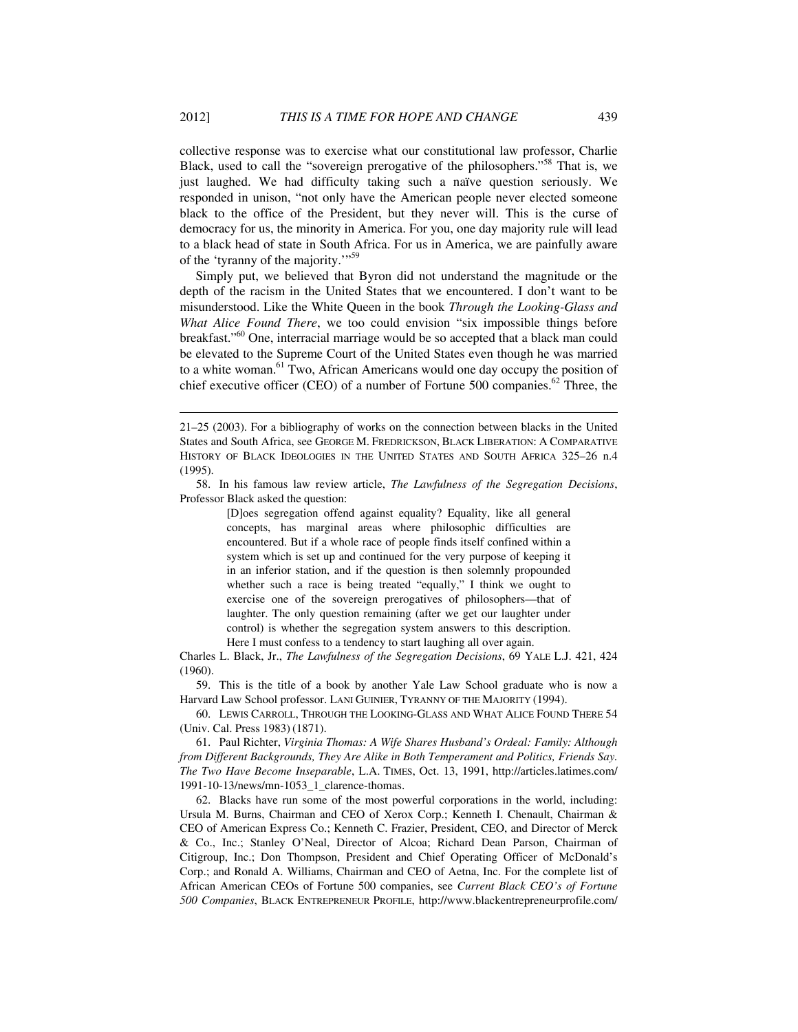collective response was to exercise what our constitutional law professor, Charlie Black, used to call the "sovereign prerogative of the philosophers."<sup>58</sup> That is, we just laughed. We had difficulty taking such a naïve question seriously. We responded in unison, "not only have the American people never elected someone black to the office of the President, but they never will. This is the curse of democracy for us, the minority in America. For you, one day majority rule will lead to a black head of state in South Africa. For us in America, we are painfully aware of the 'tyranny of the majority.'"<sup>59</sup>

Simply put, we believed that Byron did not understand the magnitude or the depth of the racism in the United States that we encountered. I don't want to be misunderstood. Like the White Queen in the book *Through the Looking-Glass and What Alice Found There*, we too could envision "six impossible things before breakfast."60 One, interracial marriage would be so accepted that a black man could be elevated to the Supreme Court of the United States even though he was married to a white woman.<sup>61</sup> Two, African Americans would one day occupy the position of chief executive officer (CEO) of a number of Fortune 500 companies.<sup>62</sup> Three, the

[D]oes segregation offend against equality? Equality, like all general concepts, has marginal areas where philosophic difficulties are encountered. But if a whole race of people finds itself confined within a system which is set up and continued for the very purpose of keeping it in an inferior station, and if the question is then solemnly propounded whether such a race is being treated "equally," I think we ought to exercise one of the sovereign prerogatives of philosophers—that of laughter. The only question remaining (after we get our laughter under control) is whether the segregation system answers to this description. Here I must confess to a tendency to start laughing all over again.

Charles L. Black, Jr., *The Lawfulness of the Segregation Decisions*, 69 YALE L.J. 421, 424 (1960).

 59. This is the title of a book by another Yale Law School graduate who is now a Harvard Law School professor. LANI GUINIER, TYRANNY OF THE MAJORITY (1994).

 60. LEWIS CARROLL, THROUGH THE LOOKING-GLASS AND WHAT ALICE FOUND THERE 54 (Univ. Cal. Press 1983) (1871).

 61. Paul Richter, *Virginia Thomas: A Wife Shares Husband's Ordeal: Family: Although from Different Backgrounds, They Are Alike in Both Temperament and Politics, Friends Say. The Two Have Become Inseparable*, L.A. TIMES, Oct. 13, 1991, http://articles.latimes.com/ 1991-10-13/news/mn-1053\_1\_clarence-thomas.

 62. Blacks have run some of the most powerful corporations in the world, including: Ursula M. Burns, Chairman and CEO of Xerox Corp.; Kenneth I. Chenault, Chairman & CEO of American Express Co.; Kenneth C. Frazier, President, CEO, and Director of Merck & Co., Inc.; Stanley O'Neal, Director of Alcoa; Richard Dean Parson, Chairman of Citigroup, Inc.; Don Thompson, President and Chief Operating Officer of McDonald's Corp.; and Ronald A. Williams, Chairman and CEO of Aetna, Inc. For the complete list of African American CEOs of Fortune 500 companies, see *Current Black CEO's of Fortune 500 Companies*, BLACK ENTREPRENEUR PROFILE, http://www.blackentrepreneurprofile.com/

<sup>21–25 (2003).</sup> For a bibliography of works on the connection between blacks in the United States and South Africa, see GEORGE M. FREDRICKSON, BLACK LIBERATION: A COMPARATIVE HISTORY OF BLACK IDEOLOGIES IN THE UNITED STATES AND SOUTH AFRICA 325–26 n.4 (1995).

 <sup>58.</sup> In his famous law review article, *The Lawfulness of the Segregation Decisions*, Professor Black asked the question: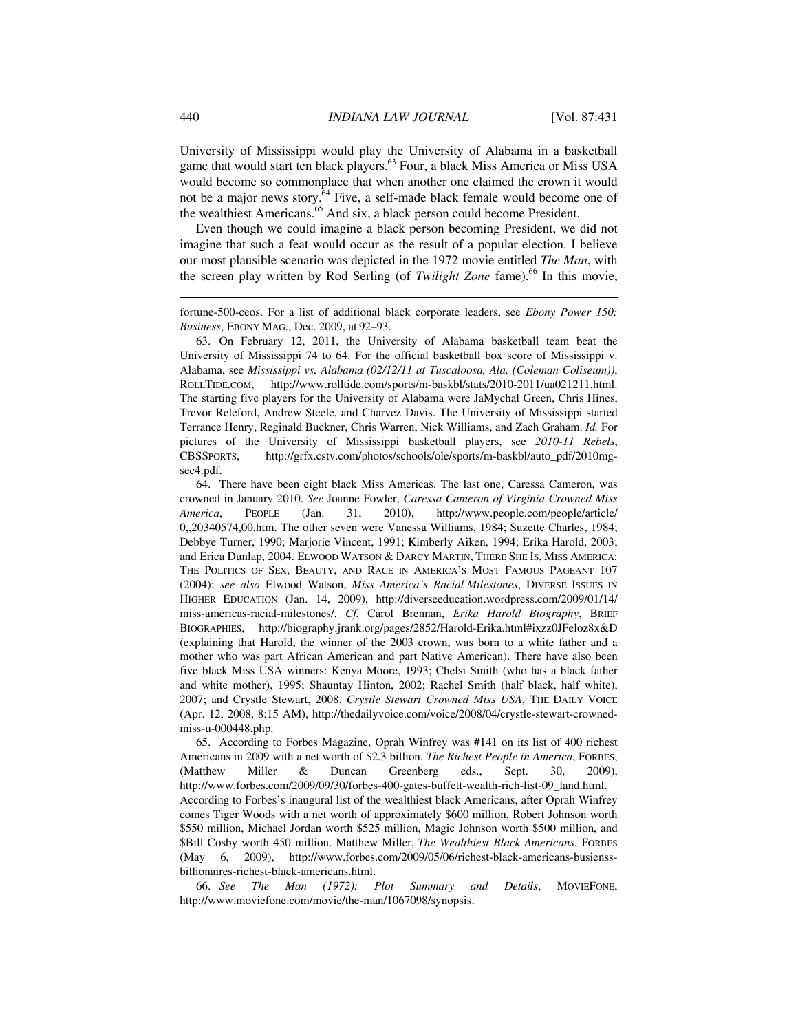University of Mississippi would play the University of Alabama in a basketball game that would start ten black players.<sup>63</sup> Four, a black Miss America or Miss USA would become so commonplace that when another one claimed the crown it would not be a major news story.<sup>64</sup> Five, a self-made black female would become one of the wealthiest Americans.<sup>65</sup> And six, a black person could become President.

Even though we could imagine a black person becoming President, we did not imagine that such a feat would occur as the result of a popular election. I believe our most plausible scenario was depicted in the 1972 movie entitled *The Man*, with the screen play written by Rod Serling (of *Twilight Zone* fame).<sup>66</sup> In this movie,

fortune-500-ceos. For a list of additional black corporate leaders, see *Ebony Power 150: Business*, EBONY MAG., Dec. 2009, at 92–93.

 63. On February 12, 2011, the University of Alabama basketball team beat the University of Mississippi 74 to 64. For the official basketball box score of Mississippi v. Alabama, see *Mississippi vs. Alabama (02/12/11 at Tuscaloosa, Ala. (Coleman Coliseum))*, ROLLTIDE.COM, http://www.rolltide.com/sports/m-baskbl/stats/2010-2011/ua021211.html. The starting five players for the University of Alabama were JaMychal Green, Chris Hines, Trevor Releford, Andrew Steele, and Charvez Davis. The University of Mississippi started Terrance Henry, Reginald Buckner, Chris Warren, Nick Williams, and Zach Graham. *Id.* For pictures of the University of Mississippi basketball players, see *2010-11 Rebels*, CBSSPORTS, http://grfx.cstv.com/photos/schools/ole/sports/m-baskbl/auto\_pdf/2010mgsec4.pdf.

 64. There have been eight black Miss Americas. The last one, Caressa Cameron, was crowned in January 2010. *See* Joanne Fowler, *Caressa Cameron of Virginia Crowned Miss America*, PEOPLE (Jan. 31, 2010), http://www.people.com/people/article/ 0,,20340574,00.htm. The other seven were Vanessa Williams, 1984; Suzette Charles, 1984; Debbye Turner, 1990; Marjorie Vincent, 1991; Kimberly Aiken, 1994; Erika Harold, 2003; and Erica Dunlap, 2004. ELWOOD WATSON & DARCY MARTIN, THERE SHE IS, MISS AMERICA: THE POLITICS OF SEX, BEAUTY, AND RACE IN AMERICA'S MOST FAMOUS PAGEANT 107 (2004); *see also* Elwood Watson, *Miss America's Racial Milestones*, DIVERSE ISSUES IN HIGHER EDUCATION (Jan. 14, 2009), http://diverseeducation.wordpress.com/2009/01/14/ miss-americas-racial-milestones/. *Cf.* Carol Brennan, *Erika Harold Biography*, BRIEF BIOGRAPHIES, http://biography.jrank.org/pages/2852/Harold-Erika.html#ixzz0JFeloz8x&D (explaining that Harold, the winner of the 2003 crown, was born to a white father and a mother who was part African American and part Native American). There have also been five black Miss USA winners: Kenya Moore, 1993; Chelsi Smith (who has a black father and white mother), 1995; Shauntay Hinton, 2002; Rachel Smith (half black, half white), 2007; and Crystle Stewart, 2008. *Crystle Stewart Crowned Miss USA*, THE DAILY VOICE (Apr. 12, 2008, 8:15 AM), http://thedailyvoice.com/voice/2008/04/crystle-stewart-crownedmiss-u-000448.php.

 65. According to Forbes Magazine, Oprah Winfrey was #141 on its list of 400 richest Americans in 2009 with a net worth of \$2.3 billion. *The Richest People in America*, FORBES, (Matthew Miller & Duncan Greenberg eds., Sept. 30, 2009), http://www.forbes.com/2009/09/30/forbes-400-gates-buffett-wealth-rich-list-09\_land.html. According to Forbes's inaugural list of the wealthiest black Americans, after Oprah Winfrey comes Tiger Woods with a net worth of approximately \$600 million, Robert Johnson worth \$550 million, Michael Jordan worth \$525 million, Magic Johnson worth \$500 million, and \$Bill Cosby worth 450 million. Matthew Miller, *The Wealthiest Black Americans*, FORBES (May 6, 2009), http://www.forbes.com/2009/05/06/richest-black-americans-busienssbillionaires-richest-black-americans.html.

 66. *See The Man (1972): Plot Summary and Details*, MOVIEFONE, http://www.moviefone.com/movie/the-man/1067098/synopsis.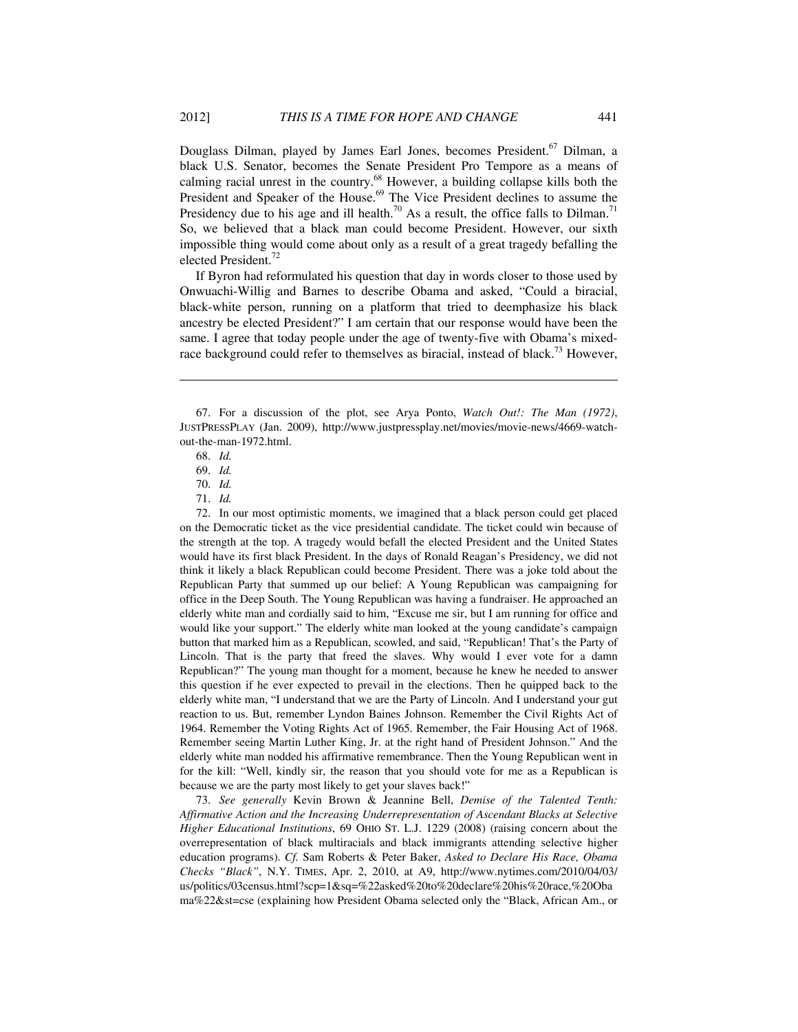Douglass Dilman, played by James Earl Jones, becomes President.<sup>67</sup> Dilman, a black U.S. Senator, becomes the Senate President Pro Tempore as a means of calming racial unrest in the country.68 However, a building collapse kills both the President and Speaker of the House.<sup>69</sup> The Vice President declines to assume the Presidency due to his age and ill health.<sup>70</sup> As a result, the office falls to Dilman.<sup>71</sup> So, we believed that a black man could become President. However, our sixth impossible thing would come about only as a result of a great tragedy befalling the elected President.72

If Byron had reformulated his question that day in words closer to those used by Onwuachi-Willig and Barnes to describe Obama and asked, "Could a biracial, black-white person, running on a platform that tried to deemphasize his black ancestry be elected President?" I am certain that our response would have been the same. I agree that today people under the age of twenty-five with Obama's mixedrace background could refer to themselves as biracial, instead of black.<sup>73</sup> However,

1

 72. In our most optimistic moments, we imagined that a black person could get placed on the Democratic ticket as the vice presidential candidate. The ticket could win because of the strength at the top. A tragedy would befall the elected President and the United States would have its first black President. In the days of Ronald Reagan's Presidency, we did not think it likely a black Republican could become President. There was a joke told about the Republican Party that summed up our belief: A Young Republican was campaigning for office in the Deep South. The Young Republican was having a fundraiser. He approached an elderly white man and cordially said to him, "Excuse me sir, but I am running for office and would like your support." The elderly white man looked at the young candidate's campaign button that marked him as a Republican, scowled, and said, "Republican! That's the Party of Lincoln. That is the party that freed the slaves. Why would I ever vote for a damn Republican?" The young man thought for a moment, because he knew he needed to answer this question if he ever expected to prevail in the elections. Then he quipped back to the elderly white man, "I understand that we are the Party of Lincoln. And I understand your gut reaction to us. But, remember Lyndon Baines Johnson. Remember the Civil Rights Act of 1964. Remember the Voting Rights Act of 1965. Remember, the Fair Housing Act of 1968. Remember seeing Martin Luther King, Jr. at the right hand of President Johnson." And the elderly white man nodded his affirmative remembrance. Then the Young Republican went in for the kill: "Well, kindly sir, the reason that you should vote for me as a Republican is because we are the party most likely to get your slaves back!"

 73. *See generally* Kevin Brown & Jeannine Bell, *Demise of the Talented Tenth: Affirmative Action and the Increasing Underrepresentation of Ascendant Blacks at Selective Higher Educational Institutions*, 69 OHIO ST. L.J. 1229 (2008) (raising concern about the overrepresentation of black multiracials and black immigrants attending selective higher education programs). *Cf.* Sam Roberts & Peter Baker, *Asked to Declare His Race, Obama Checks "Black"*, N.Y. TIMES, Apr. 2, 2010, at A9, http://www.nytimes.com/2010/04/03/ us/politics/03census.html?scp=1&sq=%22asked%20to%20declare%20his%20race,%20Oba ma%22&st=cse (explaining how President Obama selected only the "Black, African Am., or

 <sup>67.</sup> For a discussion of the plot, see Arya Ponto, *Watch Out!: The Man (1972)*, JUSTPRESSPLAY (Jan. 2009), http://www.justpressplay.net/movies/movie-news/4669-watchout-the-man-1972.html.

 <sup>68.</sup> *Id.* 

 <sup>69.</sup> *Id.*

 <sup>70.</sup> *Id.*

 <sup>71.</sup> *Id.*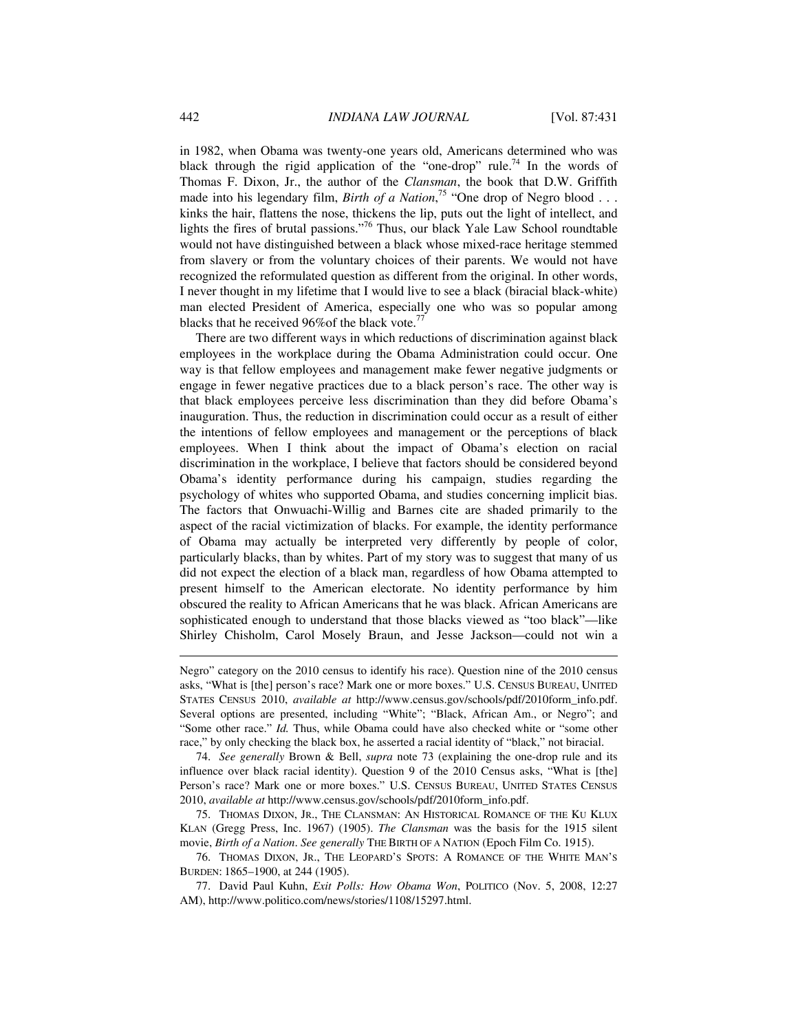in 1982, when Obama was twenty-one years old, Americans determined who was black through the rigid application of the "one-drop" rule.<sup>74</sup> In the words of Thomas F. Dixon, Jr., the author of the *Clansman*, the book that D.W. Griffith made into his legendary film, *Birth of a Nation*<sup>75</sup> "One drop of Negro blood . . . kinks the hair, flattens the nose, thickens the lip, puts out the light of intellect, and lights the fires of brutal passions."76 Thus, our black Yale Law School roundtable would not have distinguished between a black whose mixed-race heritage stemmed from slavery or from the voluntary choices of their parents. We would not have recognized the reformulated question as different from the original. In other words, I never thought in my lifetime that I would live to see a black (biracial black-white) man elected President of America, especially one who was so popular among blacks that he received 96% of the black vote.<sup>77</sup>

There are two different ways in which reductions of discrimination against black employees in the workplace during the Obama Administration could occur. One way is that fellow employees and management make fewer negative judgments or engage in fewer negative practices due to a black person's race. The other way is that black employees perceive less discrimination than they did before Obama's inauguration. Thus, the reduction in discrimination could occur as a result of either the intentions of fellow employees and management or the perceptions of black employees. When I think about the impact of Obama's election on racial discrimination in the workplace, I believe that factors should be considered beyond Obama's identity performance during his campaign, studies regarding the psychology of whites who supported Obama, and studies concerning implicit bias. The factors that Onwuachi-Willig and Barnes cite are shaded primarily to the aspect of the racial victimization of blacks. For example, the identity performance of Obama may actually be interpreted very differently by people of color, particularly blacks, than by whites. Part of my story was to suggest that many of us did not expect the election of a black man, regardless of how Obama attempted to present himself to the American electorate. No identity performance by him obscured the reality to African Americans that he was black. African Americans are sophisticated enough to understand that those blacks viewed as "too black"-like Shirley Chisholm, Carol Mosely Braun, and Jesse Jackson—could not win a

<u>.</u>

Negro" category on the 2010 census to identify his race). Question nine of the 2010 census asks, "What is [the] person's race? Mark one or more boxes." U.S. CENSUS BUREAU, UNITED STATES CENSUS 2010, *available at* http://www.census.gov/schools/pdf/2010form\_info.pdf. Several options are presented, including "White"; "Black, African Am., or Negro"; and "Some other race." *Id.* Thus, while Obama could have also checked white or "some other race," by only checking the black box, he asserted a racial identity of "black," not biracial.

 <sup>74.</sup> *See generally* Brown & Bell, *supra* note 73 (explaining the one-drop rule and its influence over black racial identity). Question 9 of the 2010 Census asks, "What is [the] Person's race? Mark one or more boxes." U.S. CENSUS BUREAU, UNITED STATES CENSUS 2010, *available at* http://www.census.gov/schools/pdf/2010form\_info.pdf.

 <sup>75.</sup> THOMAS DIXON, JR., THE CLANSMAN: AN HISTORICAL ROMANCE OF THE KU KLUX KLAN (Gregg Press, Inc. 1967) (1905). *The Clansman* was the basis for the 1915 silent movie, *Birth of a Nation*. *See generally* THE BIRTH OF A NATION (Epoch Film Co. 1915).

 <sup>76.</sup> THOMAS DIXON, JR., THE LEOPARD'S SPOTS: A ROMANCE OF THE WHITE MAN'S BURDEN: 1865–1900, at 244 (1905).

 <sup>77.</sup> David Paul Kuhn, *Exit Polls: How Obama Won*, POLITICO (Nov. 5, 2008, 12:27 AM), http://www.politico.com/news/stories/1108/15297.html.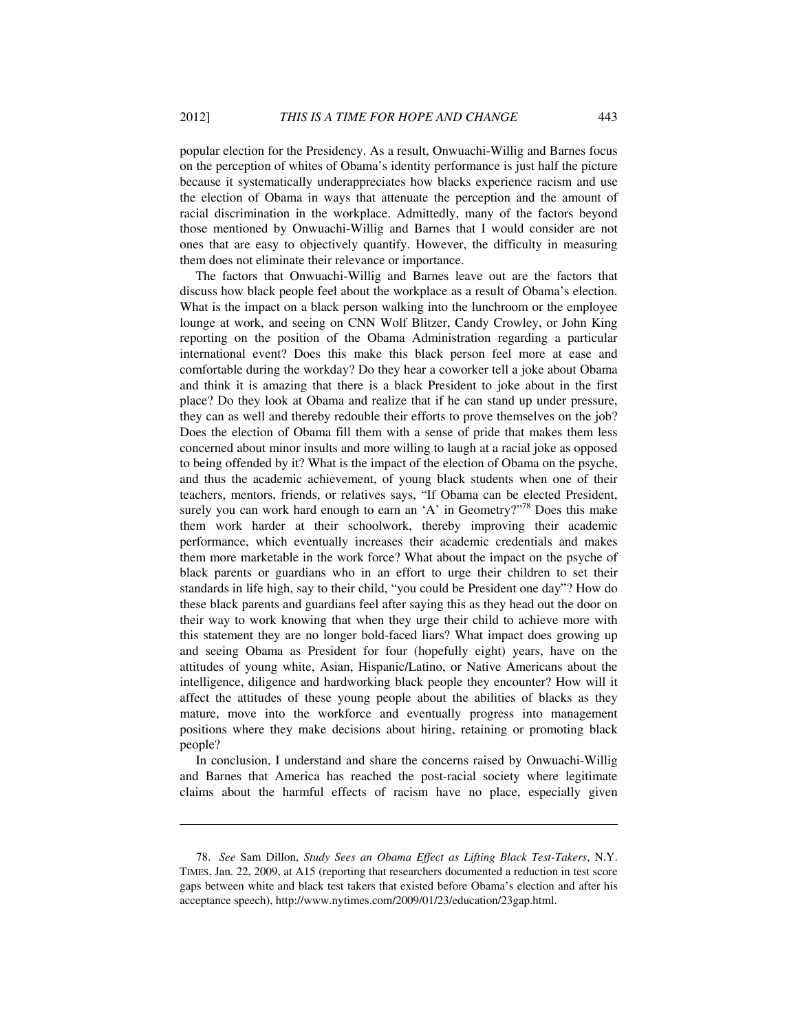popular election for the Presidency. As a result, Onwuachi-Willig and Barnes focus on the perception of whites of Obama's identity performance is just half the picture because it systematically underappreciates how blacks experience racism and use the election of Obama in ways that attenuate the perception and the amount of racial discrimination in the workplace. Admittedly, many of the factors beyond those mentioned by Onwuachi-Willig and Barnes that I would consider are not ones that are easy to objectively quantify. However, the difficulty in measuring them does not eliminate their relevance or importance.

The factors that Onwuachi-Willig and Barnes leave out are the factors that discuss how black people feel about the workplace as a result of Obama's election. What is the impact on a black person walking into the lunchroom or the employee lounge at work, and seeing on CNN Wolf Blitzer, Candy Crowley, or John King reporting on the position of the Obama Administration regarding a particular international event? Does this make this black person feel more at ease and comfortable during the workday? Do they hear a coworker tell a joke about Obama and think it is amazing that there is a black President to joke about in the first place? Do they look at Obama and realize that if he can stand up under pressure, they can as well and thereby redouble their efforts to prove themselves on the job? Does the election of Obama fill them with a sense of pride that makes them less concerned about minor insults and more willing to laugh at a racial joke as opposed to being offended by it? What is the impact of the election of Obama on the psyche, and thus the academic achievement, of young black students when one of their teachers, mentors, friends, or relatives says, "If Obama can be elected President, surely you can work hard enough to earn an 'A' in Geometry?"<sup>78</sup> Does this make them work harder at their schoolwork, thereby improving their academic performance, which eventually increases their academic credentials and makes them more marketable in the work force? What about the impact on the psyche of black parents or guardians who in an effort to urge their children to set their standards in life high, say to their child, "you could be President one day"? How do these black parents and guardians feel after saying this as they head out the door on their way to work knowing that when they urge their child to achieve more with this statement they are no longer bold-faced liars? What impact does growing up and seeing Obama as President for four (hopefully eight) years, have on the attitudes of young white, Asian, Hispanic/Latino, or Native Americans about the intelligence, diligence and hardworking black people they encounter? How will it affect the attitudes of these young people about the abilities of blacks as they mature, move into the workforce and eventually progress into management positions where they make decisions about hiring, retaining or promoting black people?

In conclusion, I understand and share the concerns raised by Onwuachi-Willig and Barnes that America has reached the post-racial society where legitimate claims about the harmful effects of racism have no place, especially given

 <sup>78.</sup> *See* Sam Dillon, *Study Sees an Obama Effect as Lifting Black Test-Takers*, N.Y. TIMES, Jan. 22, 2009, at A15 (reporting that researchers documented a reduction in test score gaps between white and black test takers that existed before Obama's election and after his acceptance speech), http://www.nytimes.com/2009/01/23/education/23gap.html.